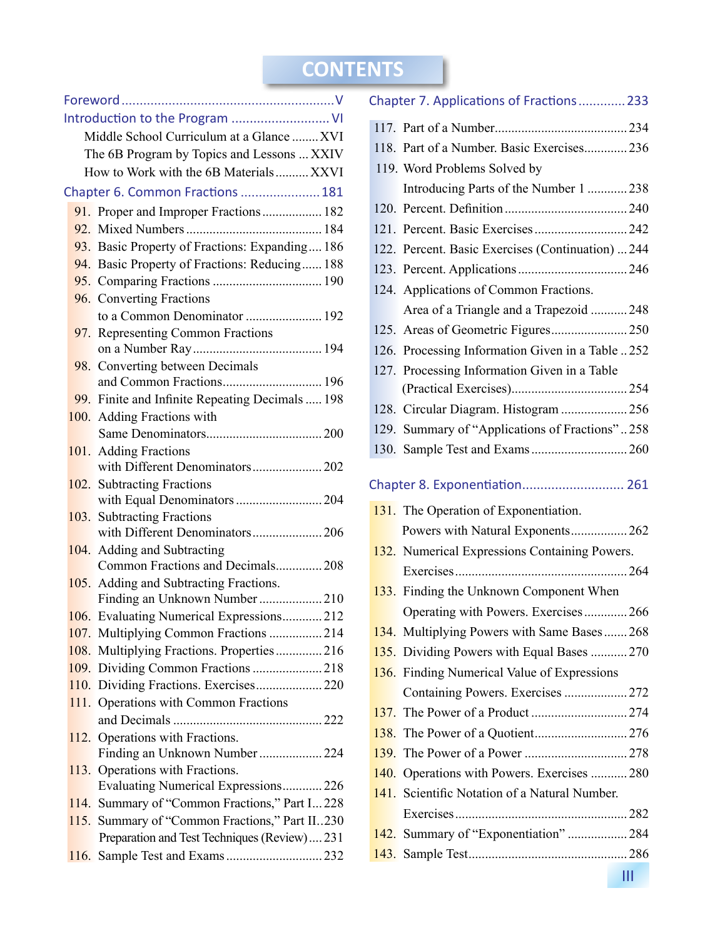### **CONTENTS**

ı

|      | Middle School Curriculum at a Glance  XVI       |
|------|-------------------------------------------------|
|      | The 6B Program by Topics and Lessons  XXIV      |
|      | How to Work with the 6B Materials XXVI          |
|      | Chapter 6. Common Fractions  181                |
|      | 91. Proper and Improper Fractions 182           |
|      |                                                 |
|      | 93. Basic Property of Fractions: Expanding 186  |
|      | 94. Basic Property of Fractions: Reducing 188   |
|      |                                                 |
|      | 96. Converting Fractions                        |
|      | to a Common Denominator  192                    |
|      | 97. Representing Common Fractions               |
|      |                                                 |
|      | 98. Converting between Decimals                 |
|      | and Common Fractions 196                        |
|      | 99. Finite and Infinite Repeating Decimals  198 |
|      | 100. Adding Fractions with                      |
|      |                                                 |
| 101. | <b>Adding Fractions</b>                         |
|      | with Different Denominators 202                 |
|      | 102. Subtracting Fractions                      |
| 103. | <b>Subtracting Fractions</b>                    |
|      |                                                 |
|      | 104. Adding and Subtracting                     |
|      | Common Fractions and Decimals 208               |
|      | 105. Adding and Subtracting Fractions.          |
|      | Finding an Unknown Number  210                  |
|      | 106. Evaluating Numerical Expressions 212       |
|      | 107. Multiplying Common Fractions  214          |
| 108. | Multiplying Fractions. Properties216            |
|      | 109. Dividing Common Fractions 218              |
|      | 110. Dividing Fractions. Exercises220           |
|      | 111. Operations with Common Fractions           |
|      |                                                 |
|      | 112. Operations with Fractions.                 |
|      | Finding an Unknown Number  224                  |
| 113. | Operations with Fractions.                      |
|      | Evaluating Numerical Expressions226             |
| 114. | Summary of "Common Fractions," Part I 228       |
|      | 115. Summary of "Common Fractions," Part II230  |
|      | Preparation and Test Techniques (Review) 231    |
|      |                                                 |

|      | Chapter 7. Applications of Fractions 233          |  |
|------|---------------------------------------------------|--|
|      |                                                   |  |
|      | 118. Part of a Number. Basic Exercises 236        |  |
|      | 119. Word Problems Solved by                      |  |
|      | Introducing Parts of the Number 1  238            |  |
|      |                                                   |  |
|      |                                                   |  |
|      | 122. Percent. Basic Exercises (Continuation)  244 |  |
|      |                                                   |  |
|      | 124. Applications of Common Fractions.            |  |
|      | Area of a Triangle and a Trapezoid  248           |  |
|      |                                                   |  |
|      | 126. Processing Information Given in a Table 252  |  |
|      | 127. Processing Information Given in a Table      |  |
|      |                                                   |  |
|      | 128. Circular Diagram. Histogram  256             |  |
|      | 129. Summary of "Applications of Fractions"258    |  |
|      |                                                   |  |
|      |                                                   |  |
|      | Chapter 8. Exponentiation 261                     |  |
|      | 131. The Operation of Exponentiation.             |  |
|      | Powers with Natural Exponents 262                 |  |
|      | 132. Numerical Expressions Containing Powers.     |  |
|      |                                                   |  |
|      | 133. Finding the Unknown Component When           |  |
|      | Operating with Powers. Exercises266               |  |
|      | 134. Multiplying Powers with Same Bases 268       |  |
|      | 135. Dividing Powers with Equal Bases  270        |  |
|      | 136. Finding Numerical Value of Expressions       |  |
|      |                                                   |  |
| 137. |                                                   |  |
| 138. |                                                   |  |
|      |                                                   |  |
|      | 140. Operations with Powers. Exercises  280       |  |
|      | 141. Scientific Notation of a Natural Number.     |  |
|      |                                                   |  |
| 142. | Summary of "Exponentiation" 284                   |  |
|      |                                                   |  |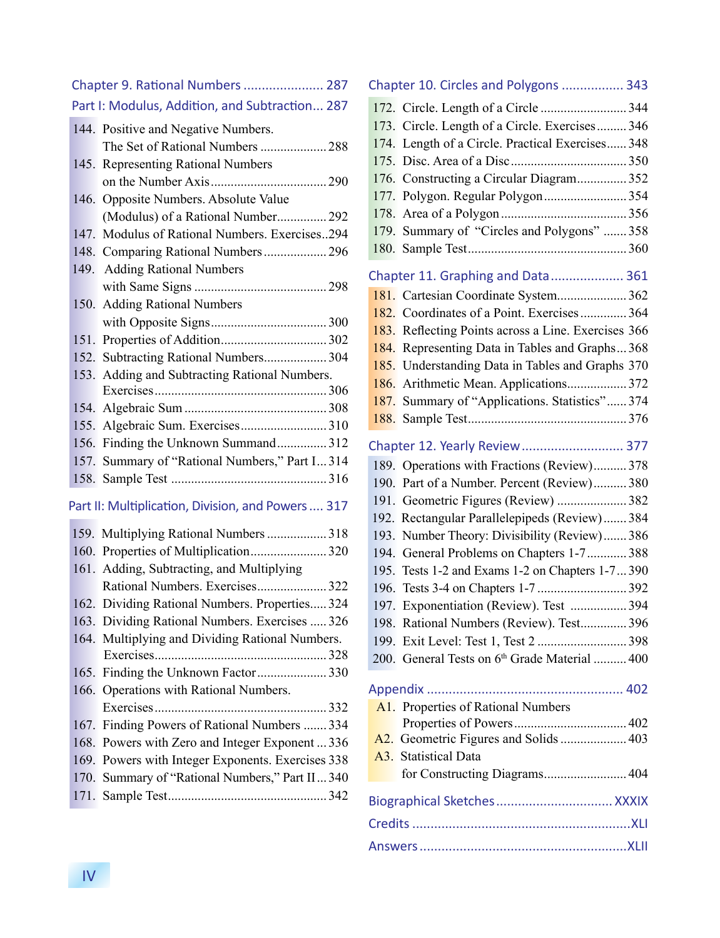| Chapter 9. Rational Numbers  287               |                                                    |  |  |
|------------------------------------------------|----------------------------------------------------|--|--|
| Part I: Modulus, Addition, and Subtraction 287 |                                                    |  |  |
|                                                | 144. Positive and Negative Numbers.                |  |  |
|                                                | The Set of Rational Numbers  288                   |  |  |
|                                                | 145. Representing Rational Numbers                 |  |  |
|                                                |                                                    |  |  |
| 146.                                           | Opposite Numbers. Absolute Value                   |  |  |
|                                                | (Modulus) of a Rational Number 292                 |  |  |
| 147.                                           | Modulus of Rational Numbers. Exercises294          |  |  |
|                                                | 148. Comparing Rational Numbers 296                |  |  |
|                                                | 149. Adding Rational Numbers                       |  |  |
|                                                |                                                    |  |  |
| 150.                                           | <b>Adding Rational Numbers</b>                     |  |  |
|                                                |                                                    |  |  |
|                                                |                                                    |  |  |
|                                                | 152. Subtracting Rational Numbers 304              |  |  |
|                                                | 153. Adding and Subtracting Rational Numbers.      |  |  |
|                                                |                                                    |  |  |
|                                                |                                                    |  |  |
| 155.                                           |                                                    |  |  |
|                                                | 156. Finding the Unknown Summand 312               |  |  |
| 157.                                           | Summary of "Rational Numbers," Part I 314          |  |  |
| 158.                                           |                                                    |  |  |
|                                                | Part II: Multiplication, Division, and Powers  317 |  |  |
|                                                | 159. Multiplying Rational Numbers  318             |  |  |
|                                                | 160. Properties of Multiplication320               |  |  |
|                                                | 161. Adding, Subtracting, and Multiplying          |  |  |
|                                                | Rational Numbers. Exercises 322                    |  |  |
|                                                | 162. Dividing Rational Numbers. Properties 324     |  |  |
|                                                | 163. Dividing Rational Numbers. Exercises  326     |  |  |
|                                                | 164. Multiplying and Dividing Rational Numbers.    |  |  |
|                                                |                                                    |  |  |
| 165.                                           | Finding the Unknown Factor330                      |  |  |
| 166.                                           | Operations with Rational Numbers.                  |  |  |
|                                                |                                                    |  |  |
|                                                | 167. Finding Powers of Rational Numbers  334       |  |  |
|                                                | 168. Powers with Zero and Integer Exponent  336    |  |  |
| 169.                                           | Powers with Integer Exponents. Exercises 338       |  |  |
| 170.                                           | Summary of "Rational Numbers," Part II 340         |  |  |
| 171.                                           |                                                    |  |  |
|                                                |                                                    |  |  |

|  | Chapter 10. Circles and Polygons  343               |  |
|--|-----------------------------------------------------|--|
|  |                                                     |  |
|  | 173. Circle. Length of a Circle. Exercises 346      |  |
|  | 174. Length of a Circle. Practical Exercises 348    |  |
|  |                                                     |  |
|  | 176. Constructing a Circular Diagram 352            |  |
|  | 177. Polygon. Regular Polygon354                    |  |
|  |                                                     |  |
|  | 179. Summary of "Circles and Polygons"  358         |  |
|  |                                                     |  |
|  | Chapter 11. Graphing and Data 361                   |  |
|  |                                                     |  |
|  | 182. Coordinates of a Point. Exercises 364          |  |
|  | 183. Reflecting Points across a Line. Exercises 366 |  |
|  | 184. Representing Data in Tables and Graphs368      |  |
|  |                                                     |  |
|  | 185. Understanding Data in Tables and Graphs 370    |  |
|  |                                                     |  |
|  | 187. Summary of "Applications. Statistics" 374      |  |
|  |                                                     |  |
|  | Chapter 12. Yearly Review 377                       |  |
|  | 189. Operations with Fractions (Review)378          |  |
|  | 190. Part of a Number. Percent (Review) 380         |  |
|  | 191. Geometric Figures (Review) 382                 |  |
|  | 192. Rectangular Parallelepipeds (Review) 384       |  |
|  | 193. Number Theory: Divisibility (Review) 386       |  |
|  | 194. General Problems on Chapters 1-7 388           |  |
|  | 195. Tests 1-2 and Exams 1-2 on Chapters 1-7 390    |  |
|  |                                                     |  |
|  | 197. Exponentiation (Review). Test  394             |  |
|  | 198. Rational Numbers (Review). Test 396            |  |
|  |                                                     |  |
|  | 200. General Tests on 6th Grade Material  400       |  |
|  |                                                     |  |
|  |                                                     |  |
|  | A1. Properties of Rational Numbers                  |  |
|  |                                                     |  |
|  | A2. Geometric Figures and Solids  403               |  |
|  | A3. Statistical Data                                |  |
|  | for Constructing Diagrams 404                       |  |
|  | Biographical Sketches XXXIX                         |  |
|  |                                                     |  |
|  |                                                     |  |
|  |                                                     |  |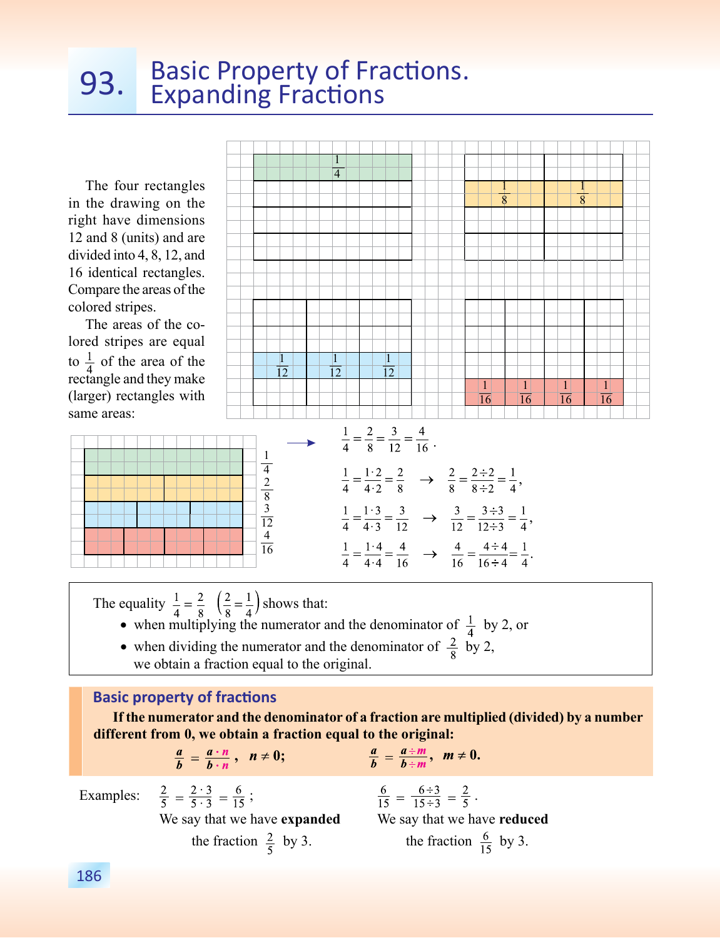# 93. Basic Property of Fractions.<br>
Expanding Fractions

The four rectangles in the drawing on the right have dimensions 12 and 8 (units) and are divided into 4, 8, 12, and 16 identical rectangles. Compare the areas of the colored stripes.

The areas of the colored stripes are equal to  $\frac{1}{4}$  of the area of the rectangle and they make (larger) rectangles with same areas:



The equality  $\frac{1}{4} = \frac{2}{8} \left(\frac{2}{8} = \frac{1}{4}\right)$  shows that:

- when multiplying the numerator and the denominator of  $\frac{1}{4}$  by 2, or
- when dividing the numerator and the denominator of  $\frac{2}{8}$  by 2, we obtain a fraction equal to the original.

#### **Basic property of fractions**

**If the numerator and the denominator of a fraction are multiplied (divided) by a number**  different from 0, we obtain a fraction equal to the original:<br> $\frac{a}{b} = \frac{a \cdot n}{b \cdot n}, \quad n \neq 0;$   $\frac{a}{b} = \frac{a \div m}{b \div m}, \quad m \neq 0.$ 

$$
\frac{a}{b}=\frac{a\cdot n}{b\cdot n}\,,\ \ n\neq 0;
$$

Examples:  $\frac{2}{5} = \frac{2 \cdot 3}{5 \cdot 3} = \frac{6}{15}$ ;  $\frac{6}{15} = \frac{6 \div 3}{15 \div 3}$ We say that we have **expanded** We say that we have **reduced** the fraction  $\frac{2}{5}$  by 3. the fraction  $\frac{6}{15}$  by 3.

$$
\frac{6}{15} = \frac{6 \div 3}{15 \div 3} = \frac{2}{5} \ .
$$

 $\overline{\phantom{a}}$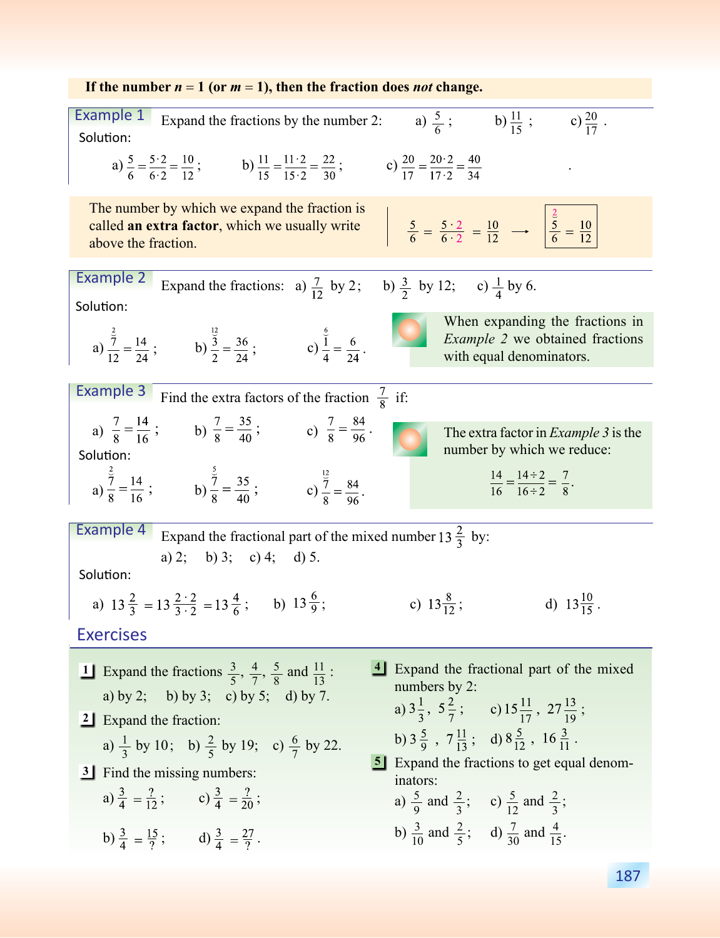| If the number $n = 1$ (or $m = 1$ ), then the fraction does <i>not</i> change.                                                                                                                                                                                                     |  |  |
|------------------------------------------------------------------------------------------------------------------------------------------------------------------------------------------------------------------------------------------------------------------------------------|--|--|
| Example 1<br>a) $\frac{5}{6}$ ; b) $\frac{11}{15}$ ; c) $\frac{20}{17}$ .<br>Expand the fractions by the number 2:<br>Solution:                                                                                                                                                    |  |  |
| a) $\frac{5}{6} = \frac{5 \cdot 2}{6 \cdot 2} = \frac{10}{12}$ ;<br>b) $\frac{11}{15} = \frac{11 \cdot 2}{15 \cdot 2} = \frac{22}{30}$ ;<br>c) $\frac{20}{17} = \frac{20 \cdot 2}{17 \cdot 2} = \frac{40}{34}$                                                                     |  |  |
| The number by which we expand the fraction is<br>$\frac{5}{6} = \frac{5 \cdot 2}{6 \cdot 2} = \frac{10}{12}$ $\rightarrow$ $\frac{2}{3} = \frac{10}{12}$<br>called an extra factor, which we usually write<br>above the fraction.                                                  |  |  |
| Example 2<br>Expand the fractions: a) $\frac{7}{12}$ by 2; b) $\frac{3}{2}$ by 12; c) $\frac{1}{4}$ by 6.<br>Solution:                                                                                                                                                             |  |  |
| When expanding the fractions in<br>a) $\frac{\frac{2}{7}}{12} = \frac{14}{24}$ ; b) $\frac{\frac{12}{3}}{2} = \frac{36}{24}$ ; c) $\frac{\frac{6}{1}}{4} = \frac{6}{24}$ .<br><i>Example 2</i> we obtained fractions<br>with equal denominators.                                   |  |  |
| <b>Example 3</b><br>Find the extra factors of the fraction $\frac{7}{8}$ if:                                                                                                                                                                                                       |  |  |
| a) $\frac{7}{8} = \frac{14}{16}$ ; b) $\frac{7}{8} = \frac{35}{40}$ ; c) $\frac{7}{8} = \frac{84}{96}$ .<br>The extra factor in <i>Example</i> 3 is the<br>number by which we reduce:<br>Solution:                                                                                 |  |  |
| a) $\frac{2}{9} = \frac{14}{16}$ ; b) $\frac{2}{9} = \frac{35}{40}$ ; c) $\frac{12}{9} = \frac{84}{96}$ .<br>$\frac{14}{16} = \frac{14 \div 2}{16 \div 2} = \frac{7}{8}.$                                                                                                          |  |  |
| Example 4<br>Expand the fractional part of the mixed number 13 $\frac{2}{3}$ by:<br>a) 2; b) 3; c) 4; d) 5.<br>Solution:                                                                                                                                                           |  |  |
| a) $13\frac{2}{3} = 13\frac{2\cdot 2}{3\cdot 2} = 13\frac{4}{6}$ ; b) $13\frac{6}{9}$ ;<br>c) $13\frac{8}{12}$ ;<br>d) $13\frac{10}{15}$ .                                                                                                                                         |  |  |
| <b>Exercises</b>                                                                                                                                                                                                                                                                   |  |  |
| 4 Expand the fractional part of the mixed<br>1 Expand the fractions $\frac{3}{5}$ , $\frac{4}{7}$ , $\frac{5}{8}$ and $\frac{11}{13}$ :<br>numbers by 2:<br>a) by 2; b) by 3; c) by 5; d) by 7.<br>a) $3\frac{1}{3}$ , $5\frac{2}{7}$ ; c) $15\frac{11}{17}$ , $27\frac{13}{19}$ ; |  |  |
| 2 Expand the fraction:<br>b) $3\frac{5}{9}$ , $7\frac{11}{13}$ ; d) $8\frac{5}{12}$ , $16\frac{3}{11}$ .<br>a) $\frac{1}{3}$ by 10; b) $\frac{2}{5}$ by 19; c) $\frac{6}{7}$ by 22.                                                                                                |  |  |
| <b>5</b> Expand the fractions to get equal denom-<br>3 Find the missing numbers:<br>inators:                                                                                                                                                                                       |  |  |
| a) $\frac{3}{4} = \frac{?}{12}$ ; c) $\frac{3}{4} = \frac{?}{20}$ ;<br>a) $\frac{5}{9}$ and $\frac{2}{3}$ ; c) $\frac{5}{12}$ and $\frac{2}{3}$ ;                                                                                                                                  |  |  |
| b) $\frac{3}{10}$ and $\frac{2}{5}$ ; d) $\frac{7}{30}$ and $\frac{4}{15}$ .<br>b) $\frac{3}{4} = \frac{15}{2}$ ; d) $\frac{3}{4} = \frac{27}{2}$ .                                                                                                                                |  |  |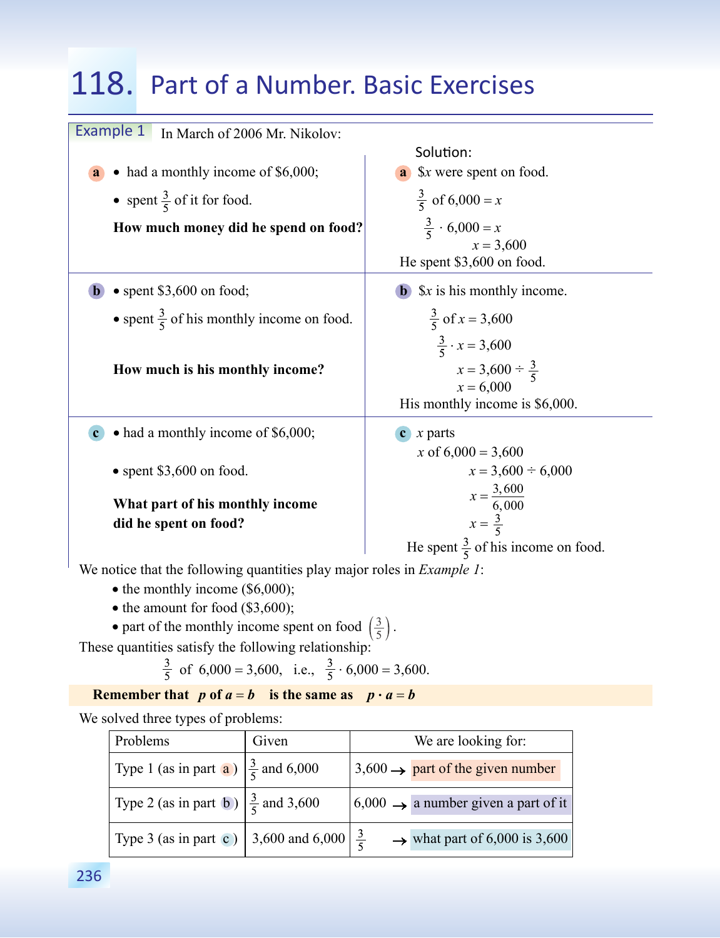### 118. Part of a Number. Basic Exercises

| Example 1<br>In March of 2006 Mr. Nikolov:           |                                                                                                                |  |
|------------------------------------------------------|----------------------------------------------------------------------------------------------------------------|--|
|                                                      | Solution:                                                                                                      |  |
| had a monthly income of \$6,000;<br>a                | a \$x were spent on food.                                                                                      |  |
| • spent $\frac{3}{5}$ of it for food.                | $\frac{3}{5}$ of 6,000 = x                                                                                     |  |
| How much money did he spend on food?                 | $\frac{3}{5} \cdot 6,000 = x$                                                                                  |  |
|                                                      | $x = 3,600$                                                                                                    |  |
|                                                      | He spent \$3,600 on food.                                                                                      |  |
| $\bullet$ spent \$3,600 on food;                     | $x$ is his monthly income.                                                                                     |  |
| • spent $\frac{3}{5}$ of his monthly income on food. | $\frac{3}{5}$ of x = 3,600                                                                                     |  |
| How much is his monthly income?                      | $\frac{3}{5} \cdot x = 3,600$<br>$x = 3,600 \div \frac{3}{5}$<br>$x = 6,000$<br>His monthly income is \$6,000. |  |
| • had a monthly income of \$6,000;                   | $x$ parts<br>$\mathbf{c}$                                                                                      |  |
| $\bullet$ spent \$3,600 on food.                     | x of $6,000 = 3,600$<br>$x = 3,600 \div 6,000$                                                                 |  |
| What part of his monthly income                      | $x = \frac{3,600}{6,000}$<br>$x = \frac{3}{5}$                                                                 |  |
| did he spent on food?                                |                                                                                                                |  |
|                                                      | He spent $\frac{3}{5}$ of his income on food.                                                                  |  |

We notice that the following quantities play major roles in *Example 1*:

- the monthly income (\$6,000);
- the amount for food (\$3,600);
- part of the monthly income spent on food  $\left(\frac{3}{5}\right)$ .

These quantities satisfy the following relationship:

 $\frac{3}{5}$  of 6,000 = 3,600, i.e.,  $\frac{3}{5} \cdot 6,000 = 3,600$ .

#### **Remember that**  $p$  of  $a = b$  is the same as  $p \cdot a = b$

We solved three types of problems:

| Problems                                                           | Given | We are looking for:                                 |
|--------------------------------------------------------------------|-------|-----------------------------------------------------|
| Type 1 (as in part <b>a</b> ) $\left \frac{3}{5}\right $ and 6,000 |       | $\beta$ ,600 $\rightarrow$ part of the given number |
| Type 2 (as in part b) $\left \frac{3}{5}\right $ and 3,600         |       | $6,000 \rightarrow$ a number given a part of it     |
| Type 3 (as in part c) 3,600 and 6,000 $\frac{3}{5}$                |       | $\rightarrow$ what part of 6,000 is 3,600           |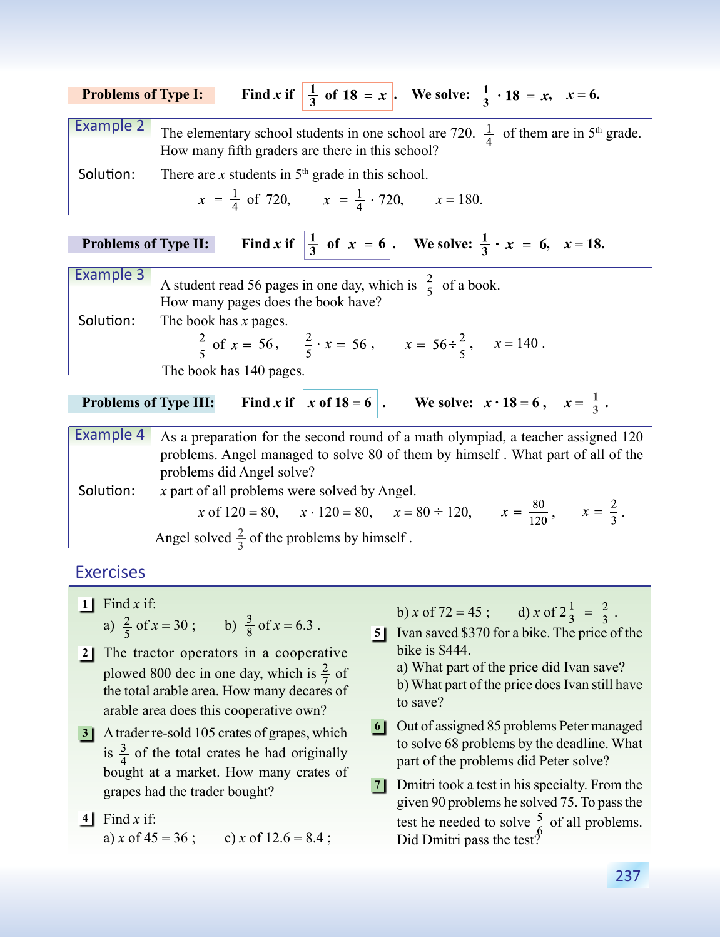| <b>Problems of Type I:</b>   | Find x if $\frac{1}{3}$ of 18 = x . We solve: $\frac{1}{3} \cdot 18 = x$ , $x = 6$ .                                                  |
|------------------------------|---------------------------------------------------------------------------------------------------------------------------------------|
| Example 2                    | The elementary school students in one school are 720. $\frac{1}{4}$ of them are in 5 <sup>th</sup> grade.                             |
|                              | How many fifth graders are there in this school?                                                                                      |
| Solution:                    | There are x students in $5th$ grade in this school.                                                                                   |
|                              | $x = \frac{1}{4}$ of 720, $x = \frac{1}{4} \cdot 720$ , $x = 180$ .                                                                   |
|                              | <b>Problems of Type II:</b> Find x if $\left \frac{1}{3} \text{ of } x = 6\right $ . We solve: $\frac{1}{3} \cdot x = 6$ , $x = 18$ . |
| Example 3                    | A student read 56 pages in one day, which is $\frac{2}{5}$ of a book.                                                                 |
|                              | How many pages does the book have?                                                                                                    |
| Solution:                    | The book has x pages.                                                                                                                 |
|                              | $\frac{2}{5}$ of $x = 56$ , $\frac{2}{5} \cdot x = 56$ , $x = 56 \div \frac{2}{5}$ , $x = 140$ .                                      |
|                              | The book has 140 pages.                                                                                                               |
| <b>Problems of Type III:</b> | Find x if $ x \text{ of } 18 = 6$ . We solve: $x \cdot 18 = 6$ , $x = \frac{1}{3}$ .                                                  |
| <b>Example 4</b>             | As a preparation for the second round of a math olympiad, a teacher assigned 120                                                      |
|                              | problems. Angel managed to solve 80 of them by himself. What part of all of the                                                       |
|                              | problems did Angel solve?                                                                                                             |
| Solution:                    | x part of all problems were solved by Angel.                                                                                          |
|                              | x of 120 = 80, $x \cdot 120 = 80$ , $x = 80 \div 120$ , $x = \frac{80}{120}$ , $x = \frac{2}{3}$ .                                    |

#### **Exercises**

- **1** Find *x* if: a)  $\frac{2}{5}$  of  $x = 30$ ; b)  $\frac{3}{8}$  of  $x = 6.3$ .
- 2<sup>1</sup> The tractor operators in a cooperative plowed 800 dec in one day, which is  $\frac{2}{7}$  of the total arable area. How many decares of arable area does this cooperative own?

Angel solved  $\frac{2}{3}$  of the problems by himself.

- **3** A trader re-sold 105 crates of grapes, which <sup>6</sup> is  $\frac{3}{4}$  of the total crates he had originally bought at a market. How many crates of grapes had the trader bought?
- Find *x* if: **4**
	- a) *x* of  $45 = 36$ ; c) *x* of  $12.6 = 8.4$ ;

b) *x* of 72 = 45; d) *x* of  $2\frac{1}{3} = \frac{2}{3}$ .

- **5** Ivan saved \$370 for a bike. The price of the bike is \$444.
	- а) What part of the price did Ivan save?
	- b) What part of the price does Ivan still have to save?
- 6 Out of assigned 85 problems Peter managed to solve 68 problems by the deadline. What part of the problems did Peter solve?
- **7** Dmitri took a test in his specialty. From the given 90 problems he solved 75. To pass the test he needed to solve  $\frac{5}{6}$  of all problems. Did Dmitri pass the test?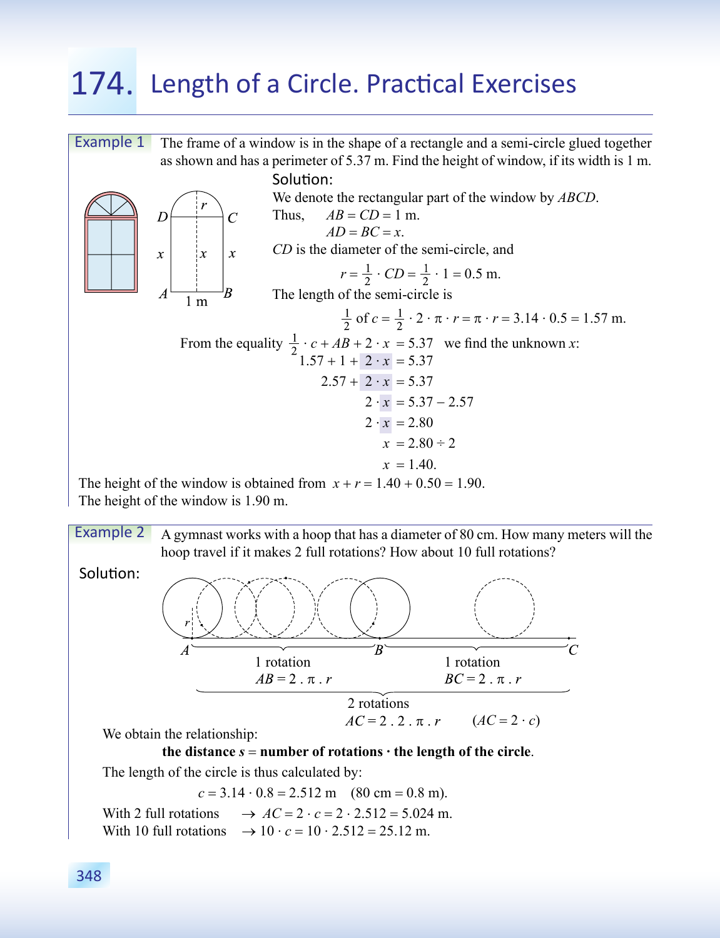## 174. Length of a Circle. Practical Exercises



A gymnast works with a hoop that has a diameter of 80 сm. How many meters will the hoop travel if it makes 2 full rotations? How about 10 full rotations? Example 2



We obtain the relationship:

#### the distance  $s =$  number of rotations  $\cdot$  the length of the circle.

The length of the circle is thus calculated by:

 $c = 3.14 \cdot 0.8 = 2.512 \text{ m}$  (80 cm = 0.8 m). With 2 full rotations  $\rightarrow AC = 2 \cdot c = 2 \cdot 2.512 = 5.024$  m.

With 10 full rotations  $\rightarrow 10 \cdot c = 10 \cdot 2.512 = 25.12$  m.